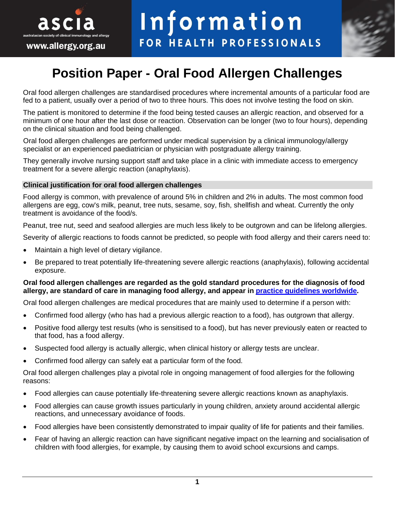



# **Position Paper - Oral Food Allergen Challenges**

Oral food allergen challenges are standardised procedures where incremental amounts of a particular food are fed to a patient, usually over a period of two to three hours. This does not involve testing the food on skin.

The patient is monitored to determine if the food being tested causes an allergic reaction, and observed for a minimum of one hour after the last dose or reaction. Observation can be longer (two to four hours), depending on the clinical situation and food being challenged.

Oral food allergen challenges are performed under medical supervision by a clinical immunology/allergy specialist or an experienced paediatrician or physician with postgraduate allergy training.

They generally involve nursing support staff and take place in a clinic with immediate access to emergency treatment for a severe allergic reaction (anaphylaxis).

#### **Clinical justification for oral food allergen challenges**

Food allergy is common, with prevalence of around 5% in children and 2% in adults. The most common food allergens are egg, cow's milk, peanut, tree nuts, sesame, soy, fish, shellfish and wheat. Currently the only treatment is avoidance of the food/s.

Peanut, tree nut, seed and seafood allergies are much less likely to be outgrown and can be lifelong allergies.

Severity of allergic reactions to foods cannot be predicted, so people with food allergy and their carers need to:

- Maintain a high level of dietary vigilance.
- Be prepared to treat potentially life-threatening severe allergic reactions (anaphylaxis), following accidental exposure.

#### **Oral food allergen challenges are regarded as the gold standard procedures for the diagnosis of food allergy, are standard of care in managing food allergy, and appear in [practice guidelines](https://www.ncbi.nlm.nih.gov/pmc/articles/PMC6843825/) worldwide.**

Oral food allergen challenges are medical procedures that are mainly used to determine if a person with:

- Confirmed food allergy (who has had a previous allergic reaction to a food), has outgrown that allergy.
- Positive food allergy test results (who is sensitised to a food), but has never previously eaten or reacted to that food, has a food allergy.
- Suspected food allergy is actually allergic, when clinical history or allergy tests are unclear.
- Confirmed food allergy can safely eat a particular form of the food.

Oral food allergen challenges play a pivotal role in ongoing management of food allergies for the following reasons:

- Food allergies can cause potentially life-threatening severe allergic reactions known as anaphylaxis.
- Food allergies can cause growth issues particularly in young children, anxiety around accidental allergic reactions, and unnecessary avoidance of foods.
- Food allergies have been consistently demonstrated to impair quality of life for patients and their families.
- Fear of having an allergic reaction can have significant negative impact on the learning and socialisation of children with food allergies, for example, by causing them to avoid school excursions and camps.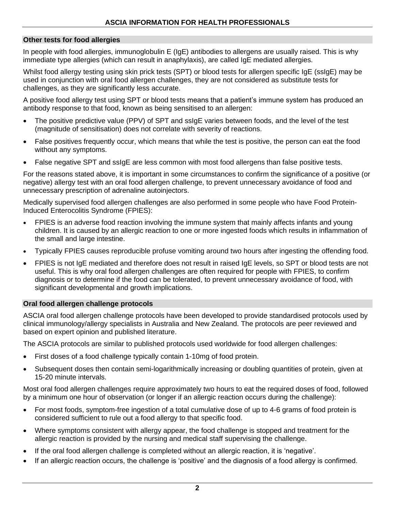# **Other tests for food allergies**

In people with food allergies, immunoglobulin E (IgE) antibodies to allergens are usually raised. This is why immediate type allergies (which can result in anaphylaxis), are called IgE mediated allergies.

Whilst food allergy testing using skin prick tests (SPT) or blood tests for allergen specific IgE (ssIgE) may be used in conjunction with oral food allergen challenges, they are not considered as substitute tests for challenges, as they are significantly less accurate.

A positive food allergy test using SPT or blood tests means that a patient's immune system has produced an antibody response to that food, known as being sensitised to an allergen:

- The positive predictive value (PPV) of SPT and ssIgE varies between foods, and the level of the test (magnitude of sensitisation) does not correlate with severity of reactions.
- False positives frequently occur, which means that while the test is positive, the person can eat the food without any symptoms.
- False negative SPT and ssIgE are less common with most food allergens than false positive tests.

For the reasons stated above, it is important in some circumstances to confirm the significance of a positive (or negative) allergy test with an oral food allergen challenge, to prevent unnecessary avoidance of food and unnecessary prescription of adrenaline autoinjectors.

Medically supervised food allergen challenges are also performed in some people who have Food Protein-Induced Enterocolitis Syndrome (FPIES):

- FPIES is an adverse food reaction involving the immune system that mainly affects infants and young children. It is caused by an allergic reaction to one or more ingested foods which results in inflammation of the small and large intestine.
- Typically FPIES causes reproducible profuse vomiting around two hours after ingesting the offending food.
- FPIES is not IgE mediated and therefore does not result in raised IgE levels, so SPT or blood tests are not useful. This is why oral food allergen challenges are often required for people with FPIES, to confirm diagnosis or to determine if the food can be tolerated, to prevent unnecessary avoidance of food, with significant developmental and growth implications.

#### **Oral food allergen challenge protocols**

ASCIA oral food allergen challenge protocols have been developed to provide standardised protocols used by clinical immunology/allergy specialists in Australia and New Zealand. The protocols are peer reviewed and based on expert opinion and published literature.

The ASCIA protocols are similar to published protocols used worldwide for food allergen challenges:

- First doses of a food challenge typically contain 1-10mg of food protein.
- Subsequent doses then contain semi-logarithmically increasing or doubling quantities of protein, given at 15-20 minute intervals.

Most oral food allergen challenges require approximately two hours to eat the required doses of food, followed by a minimum one hour of observation (or longer if an allergic reaction occurs during the challenge):

- For most foods, symptom-free ingestion of a total cumulative dose of up to 4-6 grams of food protein is considered sufficient to rule out a food allergy to that specific food.
- Where symptoms consistent with allergy appear, the food challenge is stopped and treatment for the allergic reaction is provided by the nursing and medical staff supervising the challenge.
- If the oral food allergen challenge is completed without an allergic reaction, it is 'negative'.
- If an allergic reaction occurs, the challenge is 'positive' and the diagnosis of a food allergy is confirmed.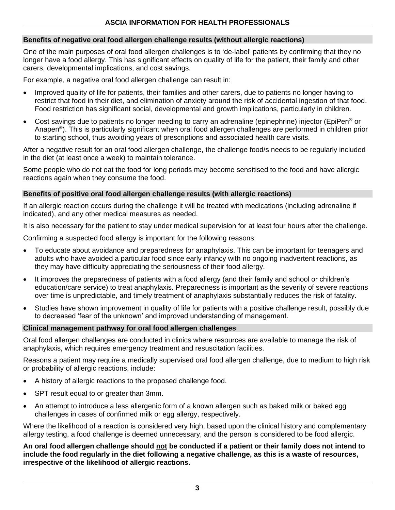# **Benefits of negative oral food allergen challenge results (without allergic reactions)**

One of the main purposes of oral food allergen challenges is to 'de-label' patients by confirming that they no longer have a food allergy. This has significant effects on quality of life for the patient, their family and other carers, developmental implications, and cost savings.

For example, a negative oral food allergen challenge can result in:

- Improved quality of life for patients, their families and other carers, due to patients no longer having to restrict that food in their diet, and elimination of anxiety around the risk of accidental ingestion of that food. Food restriction has significant social, developmental and growth implications, particularly in children.
- Cost savings due to patients no longer needing to carry an adrenaline (epinephrine) injector (EpiPen® or Anapen<sup>®</sup>). This is particularly significant when oral food allergen challenges are performed in children prior to starting school, thus avoiding years of prescriptions and associated health care visits.

After a negative result for an oral food allergen challenge, the challenge food/s needs to be regularly included in the diet (at least once a week) to maintain tolerance.

Some people who do not eat the food for long periods may become sensitised to the food and have allergic reactions again when they consume the food.

# **Benefits of positive oral food allergen challenge results (with allergic reactions)**

If an allergic reaction occurs during the challenge it will be treated with medications (including adrenaline if indicated), and any other medical measures as needed.

It is also necessary for the patient to stay under medical supervision for at least four hours after the challenge.

Confirming a suspected food allergy is important for the following reasons:

- To educate about avoidance and preparedness for anaphylaxis. This can be important for teenagers and adults who have avoided a particular food since early infancy with no ongoing inadvertent reactions, as they may have difficulty appreciating the seriousness of their food allergy.
- It improves the preparedness of patients with a food allergy (and their family and school or children's education/care service) to treat anaphylaxis. Preparedness is important as the severity of severe reactions over time is unpredictable, and timely treatment of anaphylaxis substantially reduces the risk of fatality.
- Studies have shown improvement in quality of life for patients with a positive challenge result, possibly due to decreased 'fear of the unknown' and improved understanding of management.

#### **Clinical management pathway for oral food allergen challenges**

Oral food allergen challenges are conducted in clinics where resources are available to manage the risk of anaphylaxis, which requires emergency treatment and resuscitation facilities.

Reasons a patient may require a medically supervised oral food allergen challenge, due to medium to high risk or probability of allergic reactions, include:

- A history of allergic reactions to the proposed challenge food.
- SPT result equal to or greater than 3mm.
- An attempt to introduce a less allergenic form of a known allergen such as baked milk or baked egg challenges in cases of confirmed milk or egg allergy, respectively.

Where the likelihood of a reaction is considered very high, based upon the clinical history and complementary allergy testing, a food challenge is deemed unnecessary, and the person is considered to be food allergic.

**An oral food allergen challenge should not be conducted if a patient or their family does not intend to include the food regularly in the diet following a negative challenge, as this is a waste of resources, irrespective of the likelihood of allergic reactions.**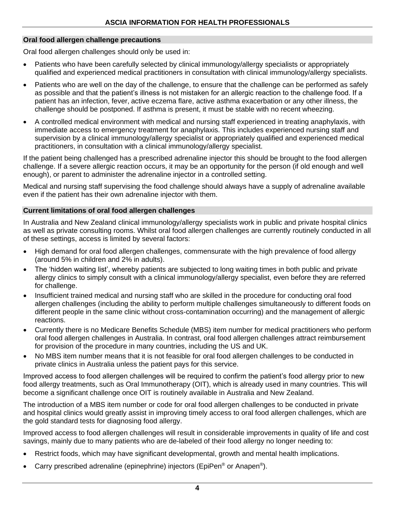# **Oral food allergen challenge precautions**

Oral food allergen challenges should only be used in:

- Patients who have been carefully selected by clinical immunology/allergy specialists or appropriately qualified and experienced medical practitioners in consultation with clinical immunology/allergy specialists.
- Patients who are well on the day of the challenge, to ensure that the challenge can be performed as safely as possible and that the patient's illness is not mistaken for an allergic reaction to the challenge food. If a patient has an infection, fever, active eczema flare, active asthma exacerbation or any other illness, the challenge should be postponed. If asthma is present, it must be stable with no recent wheezing.
- A controlled medical environment with medical and nursing staff experienced in treating anaphylaxis, with immediate access to emergency treatment for anaphylaxis. This includes experienced nursing staff and supervision by a clinical immunology/allergy specialist or appropriately qualified and experienced medical practitioners, in consultation with a clinical immunology/allergy specialist.

If the patient being challenged has a prescribed adrenaline injector this should be brought to the food allergen challenge. If a severe allergic reaction occurs, it may be an opportunity for the person (if old enough and well enough), or parent to administer the adrenaline injector in a controlled setting.

Medical and nursing staff supervising the food challenge should always have a supply of adrenaline available even if the patient has their own adrenaline injector with them.

#### **Current limitations of oral food allergen challenges**

In Australia and New Zealand clinical immunology/allergy specialists work in public and private hospital clinics as well as private consulting rooms. Whilst oral food allergen challenges are currently routinely conducted in all of these settings, access is limited by several factors:

- High demand for oral food allergen challenges, commensurate with the high prevalence of food allergy (around 5% in children and 2% in adults).
- The 'hidden waiting list', whereby patients are subjected to long waiting times in both public and private allergy clinics to simply consult with a clinical immunology/allergy specialist, even before they are referred for challenge.
- Insufficient trained medical and nursing staff who are skilled in the procedure for conducting oral food allergen challenges (including the ability to perform multiple challenges simultaneously to different foods on different people in the same clinic without cross-contamination occurring) and the management of allergic reactions.
- Currently there is no Medicare Benefits Schedule (MBS) item number for medical practitioners who perform oral food allergen challenges in Australia. In contrast, oral food allergen challenges attract reimbursement for provision of the procedure in many countries, including the US and UK.
- No MBS item number means that it is not feasible for oral food allergen challenges to be conducted in private clinics in Australia unless the patient pays for this service.

Improved access to food allergen challenges will be required to confirm the patient's food allergy prior to new food allergy treatments, such as Oral Immunotherapy (OIT), which is already used in many countries. This will become a significant challenge once OIT is routinely available in Australia and New Zealand.

The introduction of a MBS item number or code for oral food allergen challenges to be conducted in private and hospital clinics would greatly assist in improving timely access to oral food allergen challenges, which are the gold standard tests for diagnosing food allergy.

Improved access to food allergen challenges will result in considerable improvements in quality of life and cost savings, mainly due to many patients who are de-labeled of their food allergy no longer needing to:

- Restrict foods, which may have significant developmental, growth and mental health implications.
- Carry prescribed adrenaline (epinephrine) injectors (EpiPen® or Anapen®).